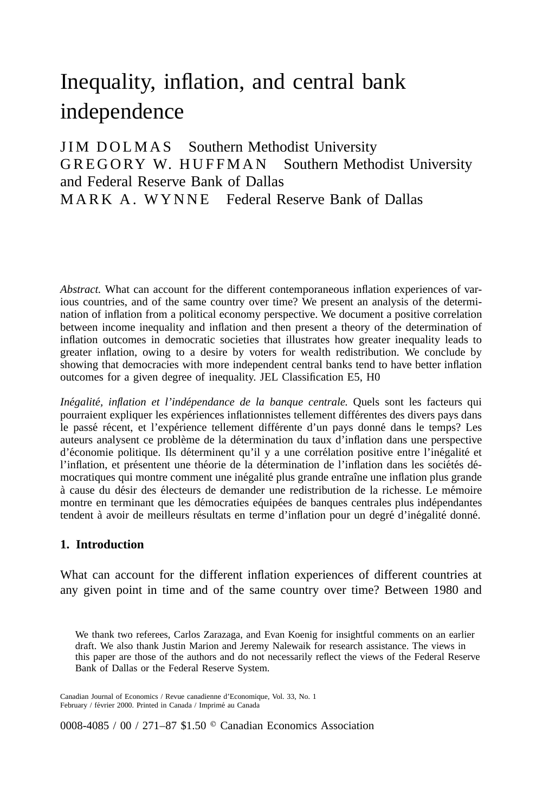# Inequality, inflation, and central bank independence

JIM DOLMAS Southern Methodist University GREGORY W. HUFFMAN Southern Methodist University and Federal Reserve Bank of Dallas MARK A. WYNNE Federal Reserve Bank of Dallas

*Abstract.* What can account for the different contemporaneous inflation experiences of various countries, and of the same country over time? We present an analysis of the determination of inflation from a political economy perspective. We document a positive correlation between income inequality and inflation and then present a theory of the determination of inflation outcomes in democratic societies that illustrates how greater inequality leads to greater inflation, owing to a desire by voters for wealth redistribution. We conclude by showing that democracies with more independent central banks tend to have better inflation outcomes for a given degree of inequality. JEL Classification E5, H0

*Inégalité, inflation et l'indépendance de la banque centrale.* Quels sont les facteurs qui pourraient expliquer les expériences inflationnistes tellement différentes des divers pays dans le passé récent, et l'expérience tellement différente d'un pays donné dans le temps? Les auteurs analysent ce problème de la détermination du taux d'inflation dans une perspective d'économie politique. Ils déterminent qu'il y a une corrélation positive entre l'inégalité et l'inflation, et présentent une théorie de la détermination de l'inflation dans les sociétés démocratiques qui montre comment une inégalité plus grande entraîne une inflation plus grande à cause du désir des électeurs de demander une redistribution de la richesse. Le mémoire montre en terminant que les démocraties equipées de banques centrales plus indépendantes tendent à avoir de meilleurs résultats en terme d'inflation pour un degré d'inégalité donné.

# **1. Introduction**

What can account for the different inflation experiences of different countries at any given point in time and of the same country over time? Between 1980 and

We thank two referees, Carlos Zarazaga, and Evan Koenig for insightful comments on an earlier draft. We also thank Justin Marion and Jeremy Nalewaik for research assistance. The views in this paper are those of the authors and do not necessarily reflect the views of the Federal Reserve Bank of Dallas or the Federal Reserve System.

0008-4085 / 00 / 271-87 \$1.50 © Canadian Economics Association

Canadian Journal of Economics / Revue canadienne d'Economique, Vol. 33, No. 1 February / février 2000. Printed in Canada / Imprimé au Canada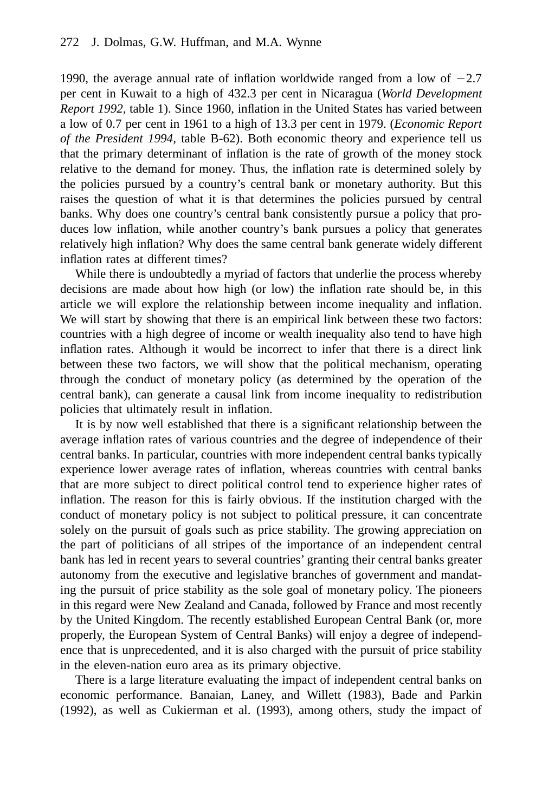1990, the average annual rate of inflation worldwide ranged from a low of  $-2.7$ per cent in Kuwait to a high of 432.3 per cent in Nicaragua (*World Development Report 1992,* table 1). Since 1960, inflation in the United States has varied between a low of 0.7 per cent in 1961 to a high of 13.3 per cent in 1979. (*Economic Report of the President 1994,* table B-62). Both economic theory and experience tell us that the primary determinant of inflation is the rate of growth of the money stock relative to the demand for money. Thus, the inflation rate is determined solely by the policies pursued by a country's central bank or monetary authority. But this raises the question of what it is that determines the policies pursued by central banks. Why does one country's central bank consistently pursue a policy that produces low inflation, while another country's bank pursues a policy that generates relatively high inflation? Why does the same central bank generate widely different inflation rates at different times?

While there is undoubtedly a myriad of factors that underlie the process whereby decisions are made about how high (or low) the inflation rate should be, in this article we will explore the relationship between income inequality and inflation. We will start by showing that there is an empirical link between these two factors: countries with a high degree of income or wealth inequality also tend to have high inflation rates. Although it would be incorrect to infer that there is a direct link between these two factors, we will show that the political mechanism, operating through the conduct of monetary policy (as determined by the operation of the central bank), can generate a causal link from income inequality to redistribution policies that ultimately result in inflation.

It is by now well established that there is a significant relationship between the average inflation rates of various countries and the degree of independence of their central banks. In particular, countries with more independent central banks typically experience lower average rates of inflation, whereas countries with central banks that are more subject to direct political control tend to experience higher rates of inflation. The reason for this is fairly obvious. If the institution charged with the conduct of monetary policy is not subject to political pressure, it can concentrate solely on the pursuit of goals such as price stability. The growing appreciation on the part of politicians of all stripes of the importance of an independent central bank has led in recent years to several countries' granting their central banks greater autonomy from the executive and legislative branches of government and mandating the pursuit of price stability as the sole goal of monetary policy. The pioneers in this regard were New Zealand and Canada, followed by France and most recently by the United Kingdom. The recently established European Central Bank (or, more properly, the European System of Central Banks) will enjoy a degree of independence that is unprecedented, and it is also charged with the pursuit of price stability in the eleven-nation euro area as its primary objective.

There is a large literature evaluating the impact of independent central banks on economic performance. Banaian, Laney, and Willett (1983), Bade and Parkin (1992), as well as Cukierman et al. (1993), among others, study the impact of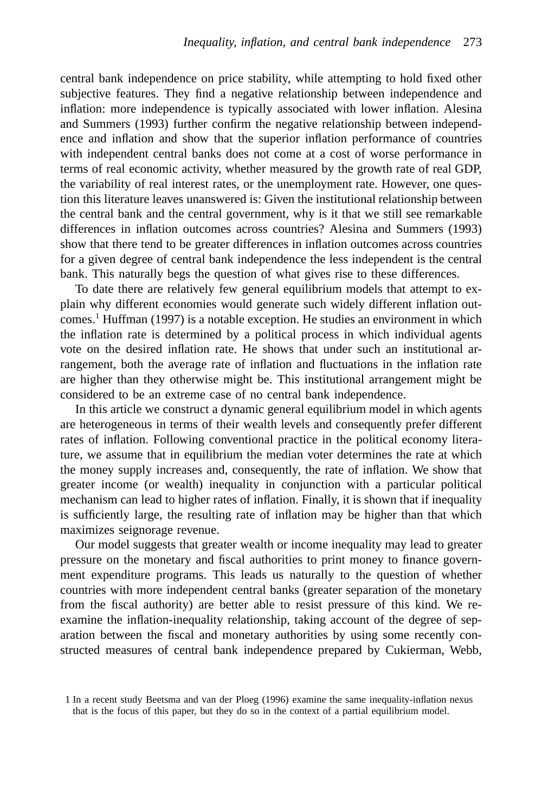central bank independence on price stability, while attempting to hold fixed other subjective features. They find a negative relationship between independence and inflation: more independence is typically associated with lower inflation. Alesina and Summers (1993) further confirm the negative relationship between independence and inflation and show that the superior inflation performance of countries with independent central banks does not come at a cost of worse performance in terms of real economic activity, whether measured by the growth rate of real GDP, the variability of real interest rates, or the unemployment rate. However, one question this literature leaves unanswered is: Given the institutional relationship between the central bank and the central government, why is it that we still see remarkable differences in inflation outcomes across countries? Alesina and Summers (1993) show that there tend to be greater differences in inflation outcomes across countries for a given degree of central bank independence the less independent is the central bank. This naturally begs the question of what gives rise to these differences.

To date there are relatively few general equilibrium models that attempt to explain why different economies would generate such widely different inflation outcomes.1 Huffman (1997) is a notable exception. He studies an environment in which the inflation rate is determined by a political process in which individual agents vote on the desired inflation rate. He shows that under such an institutional arrangement, both the average rate of inflation and fluctuations in the inflation rate are higher than they otherwise might be. This institutional arrangement might be considered to be an extreme case of no central bank independence.

In this article we construct a dynamic general equilibrium model in which agents are heterogeneous in terms of their wealth levels and consequently prefer different rates of inflation. Following conventional practice in the political economy literature, we assume that in equilibrium the median voter determines the rate at which the money supply increases and, consequently, the rate of inflation. We show that greater income (or wealth) inequality in conjunction with a particular political mechanism can lead to higher rates of inflation. Finally, it is shown that if inequality is sufficiently large, the resulting rate of inflation may be higher than that which maximizes seignorage revenue.

Our model suggests that greater wealth or income inequality may lead to greater pressure on the monetary and fiscal authorities to print money to finance government expenditure programs. This leads us naturally to the question of whether countries with more independent central banks (greater separation of the monetary from the fiscal authority) are better able to resist pressure of this kind. We reexamine the inflation-inequality relationship, taking account of the degree of separation between the fiscal and monetary authorities by using some recently constructed measures of central bank independence prepared by Cukierman, Webb,

<sup>1</sup> In a recent study Beetsma and van der Ploeg (1996) examine the same inequality-inflation nexus that is the focus of this paper, but they do so in the context of a partial equilibrium model.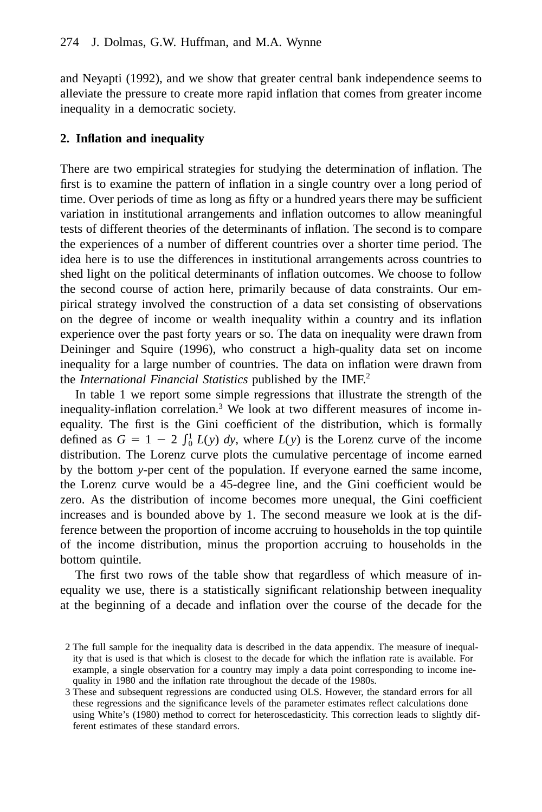and Neyapti (1992), and we show that greater central bank independence seems to alleviate the pressure to create more rapid inflation that comes from greater income inequality in a democratic society.

# **2. Inflation and inequality**

There are two empirical strategies for studying the determination of inflation. The first is to examine the pattern of inflation in a single country over a long period of time. Over periods of time as long as fifty or a hundred years there may be sufficient variation in institutional arrangements and inflation outcomes to allow meaningful tests of different theories of the determinants of inflation. The second is to compare the experiences of a number of different countries over a shorter time period. The idea here is to use the differences in institutional arrangements across countries to shed light on the political determinants of inflation outcomes. We choose to follow the second course of action here, primarily because of data constraints. Our empirical strategy involved the construction of a data set consisting of observations on the degree of income or wealth inequality within a country and its inflation experience over the past forty years or so. The data on inequality were drawn from Deininger and Squire (1996), who construct a high-quality data set on income inequality for a large number of countries. The data on inflation were drawn from the *International Financial Statistics* published by the IMF.2

In table 1 we report some simple regressions that illustrate the strength of the inequality-inflation correlation.3 We look at two different measures of income inequality. The first is the Gini coefficient of the distribution, which is formally defined as  $G = 1 - 2 \int_0^1 L(y) dy$ , where  $L(y)$  is the Lorenz curve of the income distribution. The Lorenz curve plots the cumulative percentage of income earned by the bottom *y*-per cent of the population. If everyone earned the same income, the Lorenz curve would be a 45-degree line, and the Gini coefficient would be zero. As the distribution of income becomes more unequal, the Gini coefficient increases and is bounded above by 1. The second measure we look at is the difference between the proportion of income accruing to households in the top quintile of the income distribution, minus the proportion accruing to households in the bottom quintile.

The first two rows of the table show that regardless of which measure of inequality we use, there is a statistically significant relationship between inequality at the beginning of a decade and inflation over the course of the decade for the

<sup>2</sup> The full sample for the inequality data is described in the data appendix. The measure of inequality that is used is that which is closest to the decade for which the inflation rate is available. For example, a single observation for a country may imply a data point corresponding to income inequality in 1980 and the inflation rate throughout the decade of the 1980s.

<sup>3</sup> These and subsequent regressions are conducted using OLS. However, the standard errors for all these regressions and the significance levels of the parameter estimates reflect calculations done using White's (1980) method to correct for heteroscedasticity. This correction leads to slightly different estimates of these standard errors.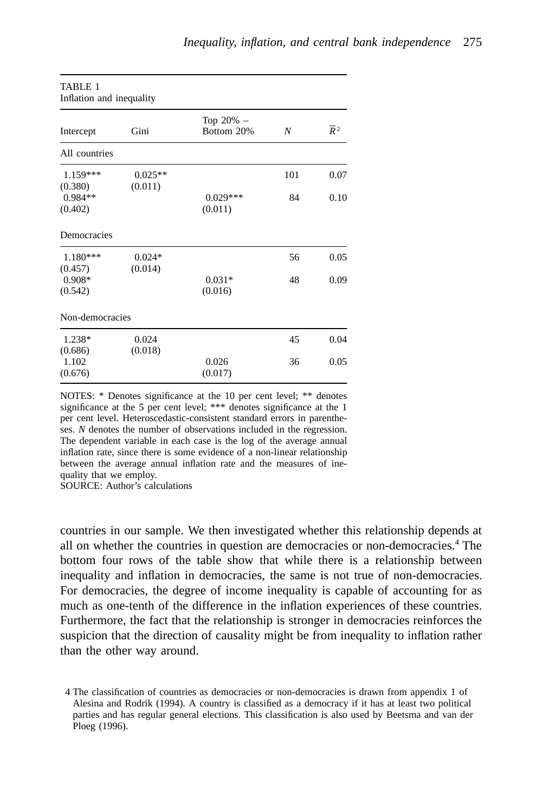| TABLE 1<br>Inflation and inequality |                      |                            |     |                  |  |  |  |
|-------------------------------------|----------------------|----------------------------|-----|------------------|--|--|--|
| Intercept                           | Gini                 | Top $20\%$ –<br>Bottom 20% | N   | $\overline{R}^2$ |  |  |  |
| All countries                       |                      |                            |     |                  |  |  |  |
| $1.159***$<br>(0.380)               | $0.025**$<br>(0.011) |                            | 101 | 0.07             |  |  |  |
| $0.984**$<br>(0.402)                |                      | $0.029***$<br>(0.011)      | 84  | 0.10             |  |  |  |
| Democracies                         |                      |                            |     |                  |  |  |  |
| $1.180***$<br>(0.457)               | $0.024*$<br>(0.014)  |                            | 56  | 0.05             |  |  |  |
| $0.908*$<br>(0.542)                 |                      | $0.031*$<br>(0.016)        | 48  | 0.09             |  |  |  |
| Non-democracies                     |                      |                            |     |                  |  |  |  |
| 1.238*<br>(0.686)                   | 0.024<br>(0.018)     |                            | 45  | 0.04             |  |  |  |
| 1.102<br>(0.676)                    |                      | 0.026<br>(0.017)           | 36  | 0.05             |  |  |  |

NOTES: \* Denotes significance at the 10 per cent level; \*\* denotes significance at the 5 per cent level; \*\*\* denotes significance at the 1 per cent level. Heteroscedastic-consistent standard errors in parentheses. *N* denotes the number of observations included in the regression. The dependent variable in each case is the log of the average annual inflation rate, since there is some evidence of a non-linear relationship between the average annual inflation rate and the measures of inequality that we employ.

SOURCE: Author's calculations

countries in our sample. We then investigated whether this relationship depends at all on whether the countries in question are democracies or non-democracies.4 The bottom four rows of the table show that while there is a relationship between inequality and inflation in democracies, the same is not true of non-democracies. For democracies, the degree of income inequality is capable of accounting for as much as one-tenth of the difference in the inflation experiences of these countries. Furthermore, the fact that the relationship is stronger in democracies reinforces the suspicion that the direction of causality might be from inequality to inflation rather than the other way around.

<sup>4</sup> The classification of countries as democracies or non-democracies is drawn from appendix 1 of Alesina and Rodrik (1994). A country is classified as a democracy if it has at least two political parties and has regular general elections. This classification is also used by Beetsma and van der Ploeg (1996).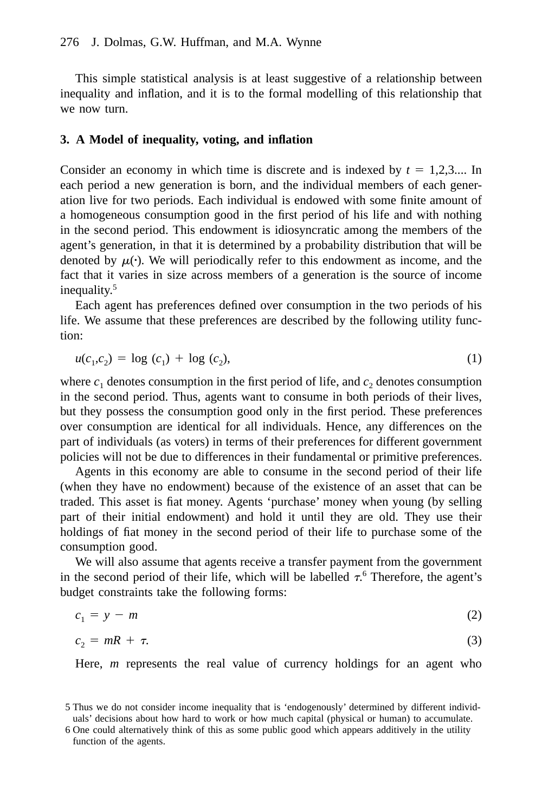This simple statistical analysis is at least suggestive of a relationship between inequality and inflation, and it is to the formal modelling of this relationship that we now turn.

## **3. A Model of inequality, voting, and inflation**

Consider an economy in which time is discrete and is indexed by  $t = 1,2,3...$  In each period a new generation is born, and the individual members of each generation live for two periods. Each individual is endowed with some finite amount of a homogeneous consumption good in the first period of his life and with nothing in the second period. This endowment is idiosyncratic among the members of the agent's generation, in that it is determined by a probability distribution that will be denoted by  $\mu(\cdot)$ . We will periodically refer to this endowment as income, and the fact that it varies in size across members of a generation is the source of income inequality.5

Each agent has preferences defined over consumption in the two periods of his life. We assume that these preferences are described by the following utility function:

$$
u(c_1, c_2) = \log(c_1) + \log(c_2), \tag{1}
$$

where  $c_1$  denotes consumption in the first period of life, and  $c_2$  denotes consumption in the second period. Thus, agents want to consume in both periods of their lives, but they possess the consumption good only in the first period. These preferences over consumption are identical for all individuals. Hence, any differences on the part of individuals (as voters) in terms of their preferences for different government policies will not be due to differences in their fundamental or primitive preferences.

Agents in this economy are able to consume in the second period of their life (when they have no endowment) because of the existence of an asset that can be traded. This asset is fiat money. Agents 'purchase' money when young (by selling part of their initial endowment) and hold it until they are old. They use their holdings of fiat money in the second period of their life to purchase some of the consumption good.

We will also assume that agents receive a transfer payment from the government in the second period of their life, which will be labelled  $\tau$ <sup>6</sup> Therefore, the agent's budget constraints take the following forms:

$$
c_1 = y - m \tag{2}
$$

$$
c_2 = mR + \tau. \tag{3}
$$

Here, *m* represents the real value of currency holdings for an agent who

<sup>5</sup> Thus we do not consider income inequality that is 'endogenously' determined by different individuals' decisions about how hard to work or how much capital (physical or human) to accumulate.

<sup>6</sup> One could alternatively think of this as some public good which appears additively in the utility function of the agents.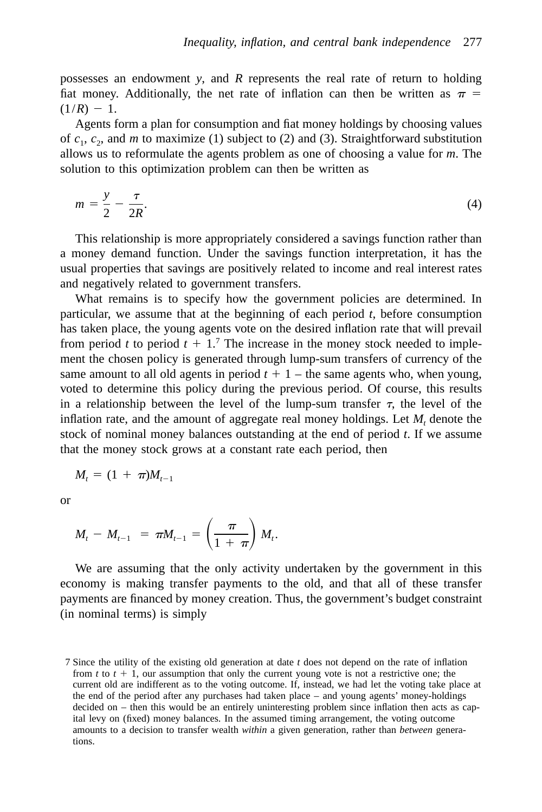possesses an endowment *y*, and *R* represents the real rate of return to holding fiat money. Additionally, the net rate of inflation can then be written as  $\pi$  =  $(1/R) - 1$ .

Agents form a plan for consumption and fiat money holdings by choosing values of  $c_1$ ,  $c_2$ , and *m* to maximize (1) subject to (2) and (3). Straightforward substitution allows us to reformulate the agents problem as one of choosing a value for *m*. The solution to this optimization problem can then be written as

$$
m = \frac{y}{2} - \frac{\tau}{2R}.\tag{4}
$$

This relationship is more appropriately considered a savings function rather than a money demand function. Under the savings function interpretation, it has the usual properties that savings are positively related to income and real interest rates and negatively related to government transfers.

What remains is to specify how the government policies are determined. In particular, we assume that at the beginning of each period *t*, before consumption has taken place, the young agents vote on the desired inflation rate that will prevail from period *t* to period  $t + 1$ .<sup>7</sup> The increase in the money stock needed to implement the chosen policy is generated through lump-sum transfers of currency of the same amount to all old agents in period  $t + 1$  – the same agents who, when young, voted to determine this policy during the previous period. Of course, this results in a relationship between the level of the lump-sum transfer  $\tau$ , the level of the inflation rate, and the amount of aggregate real money holdings. Let  $M$ , denote the stock of nominal money balances outstanding at the end of period *t*. If we assume that the money stock grows at a constant rate each period, then

$$
M_t = (1 + \pi)M_{t-1}
$$

or

$$
M_t - M_{t-1} = \pi M_{t-1} = \left(\frac{\pi}{1+\pi}\right) M_t.
$$

We are assuming that the only activity undertaken by the government in this economy is making transfer payments to the old, and that all of these transfer payments are financed by money creation. Thus, the government's budget constraint (in nominal terms) is simply

<sup>7</sup> Since the utility of the existing old generation at date *t* does not depend on the rate of inflation from  $t$  to  $t + 1$ , our assumption that only the current young vote is not a restrictive one; the current old are indifferent as to the voting outcome. If, instead, we had let the voting take place at the end of the period after any purchases had taken place – and young agents' money-holdings decided on – then this would be an entirely uninteresting problem since inflation then acts as capital levy on (fixed) money balances. In the assumed timing arrangement, the voting outcome amounts to a decision to transfer wealth *within* a given generation, rather than *between* generations.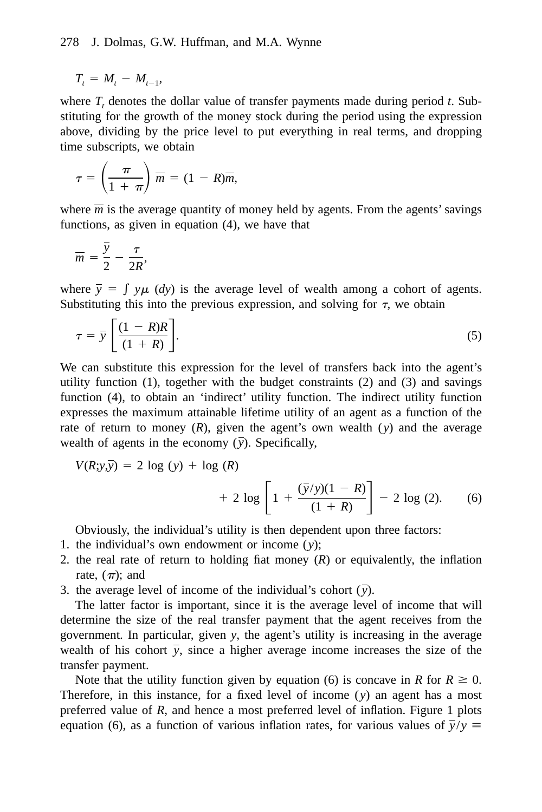$T_t = M_t - M_{t-1},$ 

where  $T<sub>c</sub>$  denotes the dollar value of transfer payments made during period  $t<sub>c</sub>$ . Substituting for the growth of the money stock during the period using the expression above, dividing by the price level to put everything in real terms, and dropping time subscripts, we obtain

$$
\tau = \left(\frac{\pi}{1+\pi}\right)\overline{m} = (1-R)\overline{m},
$$

where  $\overline{m}$  is the average quantity of money held by agents. From the agents' savings functions, as given in equation (4), we have that

$$
\overline{m}=\frac{\overline{y}}{2}-\frac{\tau}{2R},
$$

where  $\overline{y} = \int y \mu$  (*dy*) is the average level of wealth among a cohort of agents. Substituting this into the previous expression, and solving for  $\tau$ , we obtain

$$
\tau = \bar{y} \left[ \frac{(1 - R)R}{(1 + R)} \right].
$$
\n(5)

We can substitute this expression for the level of transfers back into the agent's utility function  $(1)$ , together with the budget constraints  $(2)$  and  $(3)$  and savings function (4), to obtain an 'indirect' utility function. The indirect utility function expresses the maximum attainable lifetime utility of an agent as a function of the rate of return to money  $(R)$ , given the agent's own wealth  $(y)$  and the average wealth of agents in the economy  $(\bar{y})$ . Specifically,

$$
V(R; y, \overline{y}) = 2 \log(y) + \log(R)
$$

+ 2 log 
$$
\left[1 + \frac{(\overline{y}/y)(1 - R)}{(1 + R)}\right]
$$
 - 2 log (2). (6)

Obviously, the individual's utility is then dependent upon three factors:

- 1. the individual's own endowment or income (*y*);
- 2. the real rate of return to holding fiat money (*R*) or equivalently, the inflation rate,  $(\pi)$ ; and
- 3. the average level of income of the individual's cohort  $(\bar{y})$ .

The latter factor is important, since it is the average level of income that will determine the size of the real transfer payment that the agent receives from the government. In particular, given *y*, the agent's utility is increasing in the average wealth of his cohort  $\overline{y}$ , since a higher average income increases the size of the transfer payment.

Note that the utility function given by equation (6) is concave in *R* for  $R \ge 0$ . Therefore, in this instance, for a fixed level of income (*y*) an agent has a most preferred value of *R*, and hence a most preferred level of inflation. Figure 1 plots equation (6), as a function of various inflation rates, for various values of  $\overline{y}/y \equiv$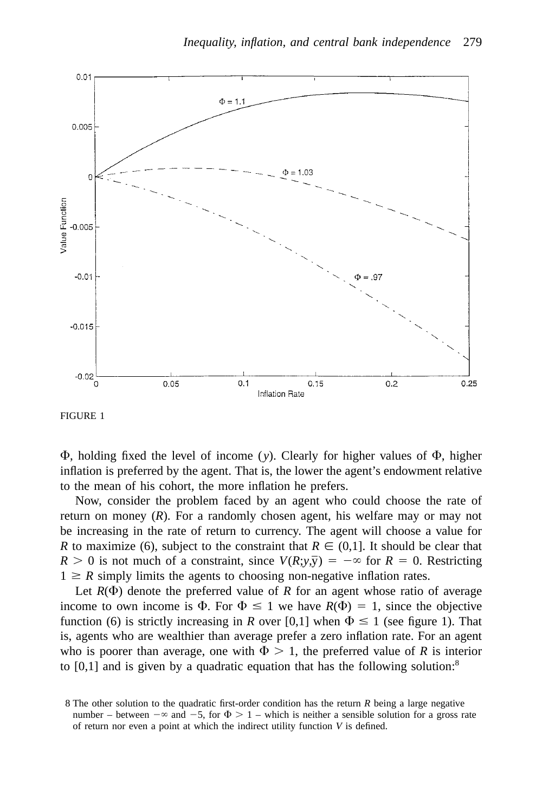

FIGURE 1

 $\Phi$ , holding fixed the level of income (y). Clearly for higher values of  $\Phi$ , higher inflation is preferred by the agent. That is, the lower the agent's endowment relative to the mean of his cohort, the more inflation he prefers.

Now, consider the problem faced by an agent who could choose the rate of return on money (*R*). For a randomly chosen agent, his welfare may or may not be increasing in the rate of return to currency. The agent will choose a value for *R* to maximize (6), subject to the constraint that  $R \in (0,1]$ . It should be clear that  $R > 0$  is not much of a constraint, since  $V(R; y, \overline{y}) = -\infty$  for  $R = 0$ . Restricting  $1 \geq R$  simply limits the agents to choosing non-negative inflation rates.

Let  $R(\Phi)$  denote the preferred value of  $R$  for an agent whose ratio of average income to own income is  $\Phi$ . For  $\Phi \leq 1$  we have  $R(\Phi) = 1$ , since the objective function (6) is strictly increasing in *R* over [0,1] when  $\Phi \le 1$  (see figure 1). That is, agents who are wealthier than average prefer a zero inflation rate. For an agent who is poorer than average, one with  $\Phi > 1$ , the preferred value of *R* is interior to  $[0,1]$  and is given by a quadratic equation that has the following solution:<sup>8</sup>

<sup>8</sup> The other solution to the quadratic first-order condition has the return *R* being a large negative number – between  $-\infty$  and  $-5$ , for  $\Phi > 1$  – which is neither a sensible solution for a gross rate of return nor even a point at which the indirect utility function *V* is defined.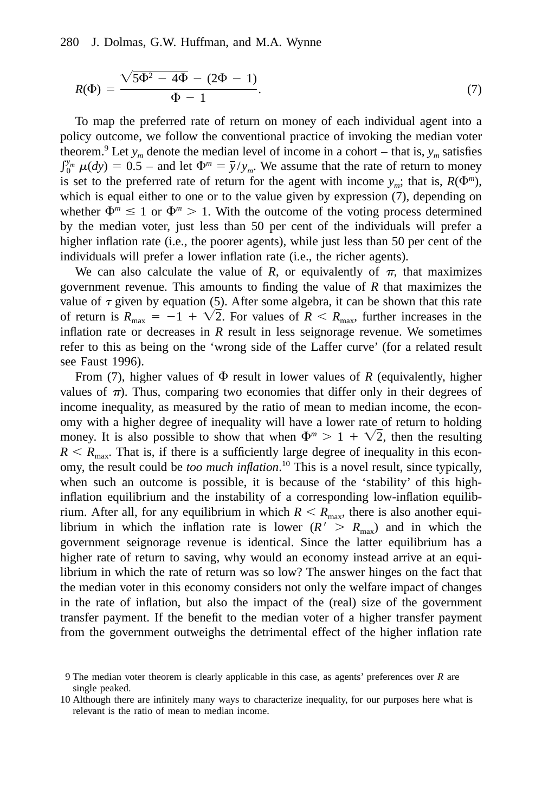$$
R(\Phi) = \frac{\sqrt{5\Phi^2 - 4\Phi} - (2\Phi - 1)}{\Phi - 1}.
$$
\n(7)

To map the preferred rate of return on money of each individual agent into a policy outcome, we follow the conventional practice of invoking the median voter theorem.<sup>9</sup> Let  $y_m$  denote the median level of income in a cohort – that is,  $y_m$  satisfies  $\int_0^{y_m} \mu(dy) = 0.5$  – and let  $\Phi^m = \overline{y}/y_m$ . We assume that the rate of return to money is set to the preferred rate of return for the agent with income  $y_m$ ; that is,  $R(\Phi^m)$ , which is equal either to one or to the value given by expression  $(7)$ , depending on whether  $\Phi^m \leq 1$  or  $\Phi^m > 1$ . With the outcome of the voting process determined by the median voter, just less than 50 per cent of the individuals will prefer a higher inflation rate (i.e., the poorer agents), while just less than 50 per cent of the individuals will prefer a lower inflation rate (i.e., the richer agents).

We can also calculate the value of *R*, or equivalently of  $\pi$ , that maximizes government revenue. This amounts to finding the value of *R* that maximizes the value of  $\tau$  given by equation (5). After some algebra, it can be shown that this rate of return is  $R_{\text{max}} = -1 + \sqrt{2}$ . For values of  $R < R_{\text{max}}$ , further increases in the inflation rate or decreases in *R* result in less seignorage revenue. We sometimes refer to this as being on the 'wrong side of the Laffer curve' (for a related result see Faust 1996).

From (7), higher values of  $\Phi$  result in lower values of *R* (equivalently, higher values of  $\pi$ ). Thus, comparing two economies that differ only in their degrees of income inequality, as measured by the ratio of mean to median income, the economy with a higher degree of inequality will have a lower rate of return to holding money. It is also possible to show that when  $\Phi^m > 1 + \sqrt{2}$ , then the resulting  $R < R_{\text{max}}$ . That is, if there is a sufficiently large degree of inequality in this economy, the result could be *too much inflation*. <sup>10</sup> This is a novel result, since typically, when such an outcome is possible, it is because of the 'stability' of this highinflation equilibrium and the instability of a corresponding low-inflation equilibrium. After all, for any equilibrium in which  $R < R_{\text{max}}$ , there is also another equilibrium in which the inflation rate is lower  $(R' > R_{\text{max}})$  and in which the government seignorage revenue is identical. Since the latter equilibrium has a higher rate of return to saving, why would an economy instead arrive at an equilibrium in which the rate of return was so low? The answer hinges on the fact that the median voter in this economy considers not only the welfare impact of changes in the rate of inflation, but also the impact of the (real) size of the government transfer payment. If the benefit to the median voter of a higher transfer payment from the government outweighs the detrimental effect of the higher inflation rate

<sup>9</sup> The median voter theorem is clearly applicable in this case, as agents' preferences over *R* are single peaked.

<sup>10</sup> Although there are infinitely many ways to characterize inequality, for our purposes here what is relevant is the ratio of mean to median income.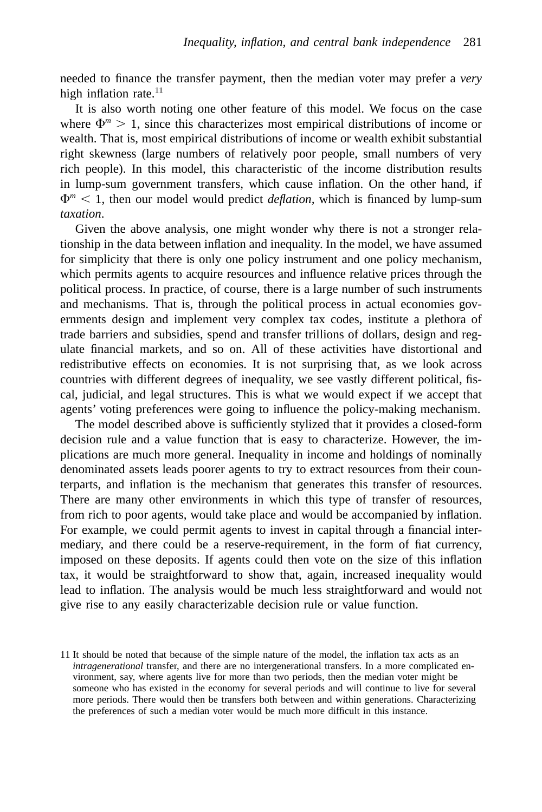needed to finance the transfer payment, then the median voter may prefer a *very* high inflation rate.<sup>11</sup>

It is also worth noting one other feature of this model. We focus on the case where  $\Phi^m > 1$ , since this characterizes most empirical distributions of income or wealth. That is, most empirical distributions of income or wealth exhibit substantial right skewness (large numbers of relatively poor people, small numbers of very rich people). In this model, this characteristic of the income distribution results in lump-sum government transfers, which cause inflation. On the other hand, if  $\Phi^{m}$  < 1, then our model would predict *deflation*, which is financed by lump-sum *taxation*.

Given the above analysis, one might wonder why there is not a stronger relationship in the data between inflation and inequality. In the model, we have assumed for simplicity that there is only one policy instrument and one policy mechanism, which permits agents to acquire resources and influence relative prices through the political process. In practice, of course, there is a large number of such instruments and mechanisms. That is, through the political process in actual economies governments design and implement very complex tax codes, institute a plethora of trade barriers and subsidies, spend and transfer trillions of dollars, design and regulate financial markets, and so on. All of these activities have distortional and redistributive effects on economies. It is not surprising that, as we look across countries with different degrees of inequality, we see vastly different political, fiscal, judicial, and legal structures. This is what we would expect if we accept that agents' voting preferences were going to influence the policy-making mechanism.

The model described above is sufficiently stylized that it provides a closed-form decision rule and a value function that is easy to characterize. However, the implications are much more general. Inequality in income and holdings of nominally denominated assets leads poorer agents to try to extract resources from their counterparts, and inflation is the mechanism that generates this transfer of resources. There are many other environments in which this type of transfer of resources, from rich to poor agents, would take place and would be accompanied by inflation. For example, we could permit agents to invest in capital through a financial intermediary, and there could be a reserve-requirement, in the form of fiat currency, imposed on these deposits. If agents could then vote on the size of this inflation tax, it would be straightforward to show that, again, increased inequality would lead to inflation. The analysis would be much less straightforward and would not give rise to any easily characterizable decision rule or value function.

<sup>11</sup> It should be noted that because of the simple nature of the model, the inflation tax acts as an *intragenerational* transfer, and there are no intergenerational transfers. In a more complicated environment, say, where agents live for more than two periods, then the median voter might be someone who has existed in the economy for several periods and will continue to live for several more periods. There would then be transfers both between and within generations. Characterizing the preferences of such a median voter would be much more difficult in this instance.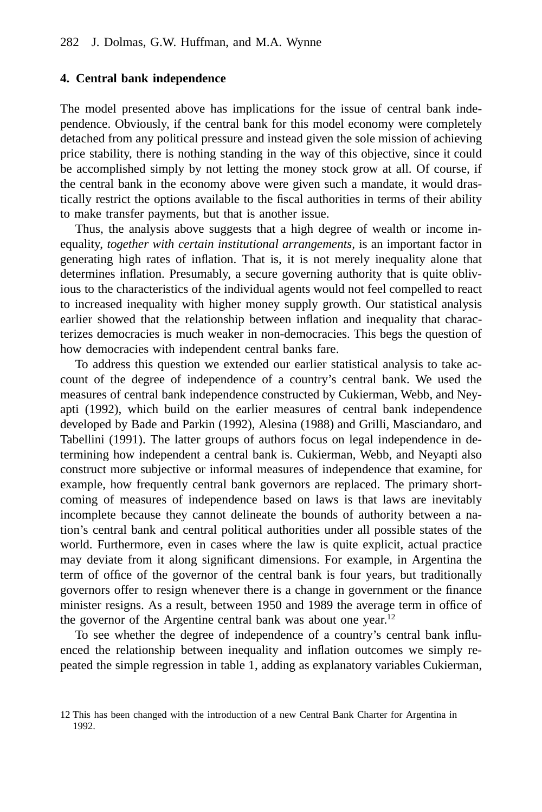#### **4. Central bank independence**

The model presented above has implications for the issue of central bank independence. Obviously, if the central bank for this model economy were completely detached from any political pressure and instead given the sole mission of achieving price stability, there is nothing standing in the way of this objective, since it could be accomplished simply by not letting the money stock grow at all. Of course, if the central bank in the economy above were given such a mandate, it would drastically restrict the options available to the fiscal authorities in terms of their ability to make transfer payments, but that is another issue.

Thus, the analysis above suggests that a high degree of wealth or income inequality, *together with certain institutional arrangements,* is an important factor in generating high rates of inflation. That is, it is not merely inequality alone that determines inflation. Presumably, a secure governing authority that is quite oblivious to the characteristics of the individual agents would not feel compelled to react to increased inequality with higher money supply growth. Our statistical analysis earlier showed that the relationship between inflation and inequality that characterizes democracies is much weaker in non-democracies. This begs the question of how democracies with independent central banks fare.

To address this question we extended our earlier statistical analysis to take account of the degree of independence of a country's central bank. We used the measures of central bank independence constructed by Cukierman, Webb, and Neyapti (1992), which build on the earlier measures of central bank independence developed by Bade and Parkin (1992), Alesina (1988) and Grilli, Masciandaro, and Tabellini (1991). The latter groups of authors focus on legal independence in determining how independent a central bank is. Cukierman, Webb, and Neyapti also construct more subjective or informal measures of independence that examine, for example, how frequently central bank governors are replaced. The primary shortcoming of measures of independence based on laws is that laws are inevitably incomplete because they cannot delineate the bounds of authority between a nation's central bank and central political authorities under all possible states of the world. Furthermore, even in cases where the law is quite explicit, actual practice may deviate from it along significant dimensions. For example, in Argentina the term of office of the governor of the central bank is four years, but traditionally governors offer to resign whenever there is a change in government or the finance minister resigns. As a result, between 1950 and 1989 the average term in office of the governor of the Argentine central bank was about one year.<sup>12</sup>

To see whether the degree of independence of a country's central bank influenced the relationship between inequality and inflation outcomes we simply repeated the simple regression in table 1, adding as explanatory variables Cukierman,

<sup>12</sup> This has been changed with the introduction of a new Central Bank Charter for Argentina in 1992.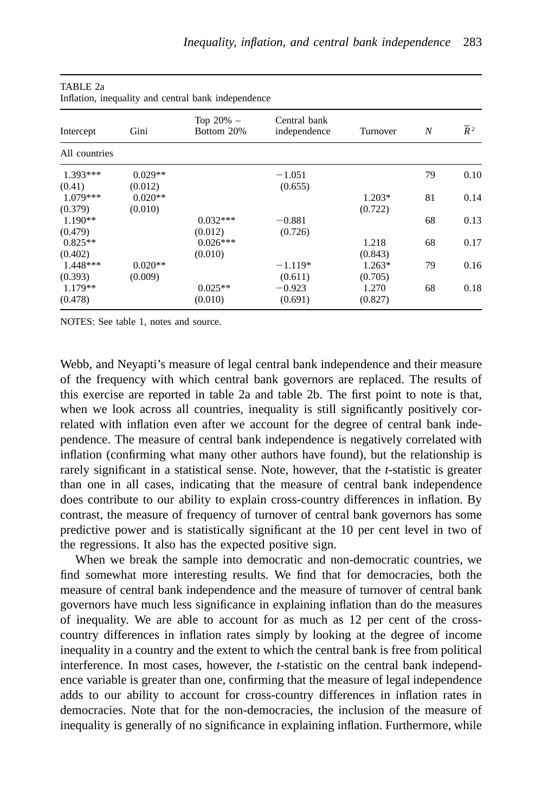| milation, inequality and central bank independence |           |                            |                              |          |    |       |  |
|----------------------------------------------------|-----------|----------------------------|------------------------------|----------|----|-------|--|
| Intercept                                          | Gini      | Top $20\%$ –<br>Bottom 20% | Central bank<br>independence | Turnover | N  | $R^2$ |  |
| All countries                                      |           |                            |                              |          |    |       |  |
| $1.393***$                                         | $0.029**$ |                            | $-1.051$                     |          | 79 | 0.10  |  |
| (0.41)                                             | (0.012)   |                            | (0.655)                      |          |    |       |  |
| $1.079***$                                         | $0.020**$ |                            |                              | $1.203*$ | 81 | 0.14  |  |
| (0.379)                                            | (0.010)   |                            |                              | (0.722)  |    |       |  |
| $1.190**$                                          |           | $0.032***$                 | $-0.881$                     |          | 68 | 0.13  |  |
| (0.479)                                            |           | (0.012)                    | (0.726)                      |          |    |       |  |
| $0.825**$                                          |           | $0.026***$                 |                              | 1.218    | 68 | 0.17  |  |
| (0.402)                                            |           | (0.010)                    |                              | (0.843)  |    |       |  |
| $1.448***$                                         | $0.020**$ |                            | $-1.119*$                    | $1.263*$ | 79 | 0.16  |  |
| (0.393)                                            | (0.009)   |                            | (0.611)                      | (0.705)  |    |       |  |
| 1.179**                                            |           | $0.025**$                  | $-0.923$                     | 1.270    | 68 | 0.18  |  |
| (0.478)                                            |           | (0.010)                    | (0.691)                      | (0.827)  |    |       |  |

TABLE 2a Inflation, inequality and central bank independence

NOTES: See table 1, notes and source.

Webb, and Neyapti's measure of legal central bank independence and their measure of the frequency with which central bank governors are replaced. The results of this exercise are reported in table 2a and table 2b. The first point to note is that, when we look across all countries, inequality is still significantly positively correlated with inflation even after we account for the degree of central bank independence. The measure of central bank independence is negatively correlated with inflation (confirming what many other authors have found), but the relationship is rarely significant in a statistical sense. Note, however, that the *t*-statistic is greater than one in all cases, indicating that the measure of central bank independence does contribute to our ability to explain cross-country differences in inflation. By contrast, the measure of frequency of turnover of central bank governors has some predictive power and is statistically significant at the 10 per cent level in two of the regressions. It also has the expected positive sign.

When we break the sample into democratic and non-democratic countries, we find somewhat more interesting results. We find that for democracies, both the measure of central bank independence and the measure of turnover of central bank governors have much less significance in explaining inflation than do the measures of inequality. We are able to account for as much as 12 per cent of the crosscountry differences in inflation rates simply by looking at the degree of income inequality in a country and the extent to which the central bank is free from political interference. In most cases, however, the *t*-statistic on the central bank independence variable is greater than one, confirming that the measure of legal independence adds to our ability to account for cross-country differences in inflation rates in democracies. Note that for the non-democracies, the inclusion of the measure of inequality is generally of no significance in explaining inflation. Furthermore, while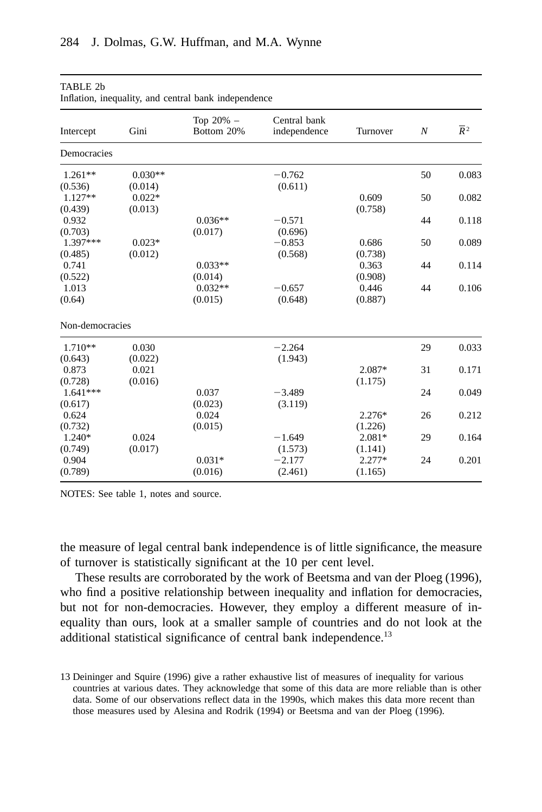| Inflation, inequality, and central bank independence |                      |                           |                              |                     |    |                  |  |  |
|------------------------------------------------------|----------------------|---------------------------|------------------------------|---------------------|----|------------------|--|--|
| Intercept                                            | Gini                 | Top $20%$ –<br>Bottom 20% | Central bank<br>independence | Turnover            | N  | $\overline{R}^2$ |  |  |
| Democracies                                          |                      |                           |                              |                     |    |                  |  |  |
| $1.261**$<br>(0.536)                                 | $0.030**$<br>(0.014) |                           | $-0.762$<br>(0.611)          |                     | 50 | 0.083            |  |  |
| $1.127**$<br>(0.439)                                 | $0.022*$<br>(0.013)  |                           |                              | 0.609<br>(0.758)    | 50 | 0.082            |  |  |
| 0.932<br>(0.703)                                     |                      | $0.036**$<br>(0.017)      | $-0.571$<br>(0.696)          |                     | 44 | 0.118            |  |  |
| 1.397***<br>(0.485)                                  | $0.023*$<br>(0.012)  |                           | $-0.853$<br>(0.568)          | 0.686<br>(0.738)    | 50 | 0.089            |  |  |
| 0.741<br>(0.522)                                     |                      | $0.033**$<br>(0.014)      |                              | 0.363<br>(0.908)    | 44 | 0.114            |  |  |
| 1.013<br>(0.64)                                      |                      | $0.032**$<br>(0.015)      | $-0.657$<br>(0.648)          | 0.446<br>(0.887)    | 44 | 0.106            |  |  |
| Non-democracies                                      |                      |                           |                              |                     |    |                  |  |  |
| $1.710**$<br>(0.643)                                 | 0.030<br>(0.022)     |                           | $-2.264$<br>(1.943)          |                     | 29 | 0.033            |  |  |
| 0.873<br>(0.728)                                     | 0.021<br>(0.016)     |                           |                              | 2.087*<br>(1.175)   | 31 | 0.171            |  |  |
| $1.641***$<br>(0.617)                                |                      | 0.037<br>(0.023)          | $-3.489$<br>(3.119)          |                     | 24 | 0.049            |  |  |
| 0.624<br>(0.732)                                     |                      | 0.024<br>(0.015)          |                              | $2.276*$<br>(1.226) | 26 | 0.212            |  |  |
| 1.240*<br>(0.749)                                    | 0.024<br>(0.017)     |                           | $-1.649$<br>(1.573)          | $2.081*$<br>(1.141) | 29 | 0.164            |  |  |
| 0.904<br>(0.789)                                     |                      | $0.031*$<br>(0.016)       | $-2.177$<br>(2.461)          | $2.277*$<br>(1.165) | 24 | 0.201            |  |  |

TABLE 2b

NOTES: See table 1, notes and source.

the measure of legal central bank independence is of little significance, the measure of turnover is statistically significant at the 10 per cent level.

These results are corroborated by the work of Beetsma and van der Ploeg (1996), who find a positive relationship between inequality and inflation for democracies, but not for non-democracies. However, they employ a different measure of inequality than ours, look at a smaller sample of countries and do not look at the additional statistical significance of central bank independence.<sup>13</sup>

<sup>13</sup> Deininger and Squire (1996) give a rather exhaustive list of measures of inequality for various countries at various dates. They acknowledge that some of this data are more reliable than is other data. Some of our observations reflect data in the 1990s, which makes this data more recent than those measures used by Alesina and Rodrik (1994) or Beetsma and van der Ploeg (1996).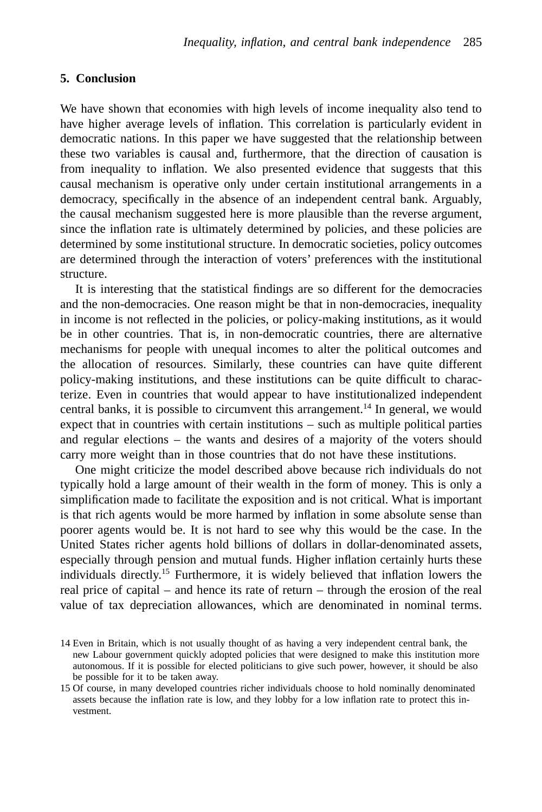### **5. Conclusion**

We have shown that economies with high levels of income inequality also tend to have higher average levels of inflation. This correlation is particularly evident in democratic nations. In this paper we have suggested that the relationship between these two variables is causal and, furthermore, that the direction of causation is from inequality to inflation. We also presented evidence that suggests that this causal mechanism is operative only under certain institutional arrangements in a democracy, specifically in the absence of an independent central bank. Arguably, the causal mechanism suggested here is more plausible than the reverse argument, since the inflation rate is ultimately determined by policies, and these policies are determined by some institutional structure. In democratic societies, policy outcomes are determined through the interaction of voters' preferences with the institutional structure.

It is interesting that the statistical findings are so different for the democracies and the non-democracies. One reason might be that in non-democracies, inequality in income is not reflected in the policies, or policy-making institutions, as it would be in other countries. That is, in non-democratic countries, there are alternative mechanisms for people with unequal incomes to alter the political outcomes and the allocation of resources. Similarly, these countries can have quite different policy-making institutions, and these institutions can be quite difficult to characterize. Even in countries that would appear to have institutionalized independent central banks, it is possible to circumvent this arrangement.<sup>14</sup> In general, we would expect that in countries with certain institutions – such as multiple political parties and regular elections – the wants and desires of a majority of the voters should carry more weight than in those countries that do not have these institutions.

One might criticize the model described above because rich individuals do not typically hold a large amount of their wealth in the form of money. This is only a simplification made to facilitate the exposition and is not critical. What is important is that rich agents would be more harmed by inflation in some absolute sense than poorer agents would be. It is not hard to see why this would be the case. In the United States richer agents hold billions of dollars in dollar-denominated assets, especially through pension and mutual funds. Higher inflation certainly hurts these individuals directly.15 Furthermore, it is widely believed that inflation lowers the real price of capital – and hence its rate of return – through the erosion of the real value of tax depreciation allowances, which are denominated in nominal terms.

<sup>14</sup> Even in Britain, which is not usually thought of as having a very independent central bank, the new Labour government quickly adopted policies that were designed to make this institution more autonomous. If it is possible for elected politicians to give such power, however, it should be also be possible for it to be taken away.

<sup>15</sup> Of course, in many developed countries richer individuals choose to hold nominally denominated assets because the inflation rate is low, and they lobby for a low inflation rate to protect this investment.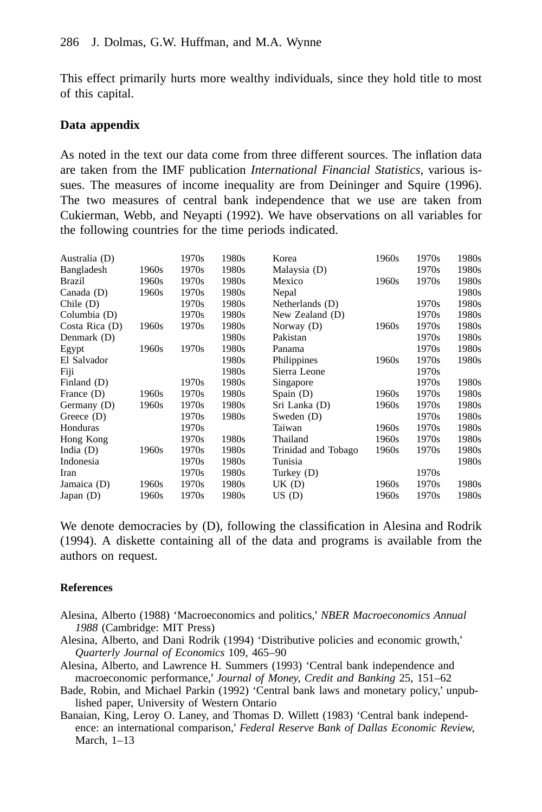This effect primarily hurts more wealthy individuals, since they hold title to most of this capital.

# **Data appendix**

As noted in the text our data come from three different sources. The inflation data are taken from the IMF publication *International Financial Statistics,* various issues. The measures of income inequality are from Deininger and Squire (1996). The two measures of central bank independence that we use are taken from Cukierman, Webb, and Neyapti (1992). We have observations on all variables for the following countries for the time periods indicated.

| Australia (D)    |       | 1970s | 1980s | Korea               | 1960s | 1970s | 1980s |
|------------------|-------|-------|-------|---------------------|-------|-------|-------|
| Bangladesh       | 1960s | 1970s | 1980s | Malaysia (D)        |       | 1970s | 1980s |
| Brazil           | 1960s | 1970s | 1980s | Mexico              | 1960s | 1970s | 1980s |
| Canada (D)       | 1960s | 1970s | 1980s | Nepal               |       |       | 1980s |
| $Chile$ (D)      |       | 1970s | 1980s | Netherlands (D)     |       | 1970s | 1980s |
| Columbia (D)     |       | 1970s | 1980s | New Zealand (D)     |       | 1970s | 1980s |
| Costa Rica $(D)$ | 1960s | 1970s | 1980s | Norway (D)          | 1960s | 1970s | 1980s |
| Denmark (D)      |       |       | 1980s | Pakistan            |       | 1970s | 1980s |
| Egypt            | 1960s | 1970s | 1980s | Panama              |       | 1970s | 1980s |
| El Salvador      |       |       | 1980s | Philippines         | 1960s | 1970s | 1980s |
| Fiji             |       |       | 1980s | Sierra Leone        |       | 1970s |       |
| Finland (D)      |       | 1970s | 1980s | Singapore           |       | 1970s | 1980s |
| France (D)       | 1960s | 1970s | 1980s | Spain (D)           | 1960s | 1970s | 1980s |
| Germany (D)      | 1960s | 1970s | 1980s | Sri Lanka (D)       | 1960s | 1970s | 1980s |
| Greece $(D)$     |       | 1970s | 1980s | Sweden (D)          |       | 1970s | 1980s |
| Honduras         |       | 1970s |       | Taiwan              | 1960s | 1970s | 1980s |
| Hong Kong        |       | 1970s | 1980s | Thailand            | 1960s | 1970s | 1980s |
| India $(D)$      | 1960s | 1970s | 1980s | Trinidad and Tobago | 1960s | 1970s | 1980s |
| Indonesia        |       | 1970s | 1980s | Tunisia             |       |       | 1980s |
| Iran             |       | 1970s | 1980s | Turkey (D)          |       | 1970s |       |
| Jamaica (D)      | 1960s | 1970s | 1980s | $UK$ $(D)$          | 1960s | 1970s | 1980s |
| Japan $(D)$      | 1960s | 1970s | 1980s | US(D)               | 1960s | 1970s | 1980s |
|                  |       |       |       |                     |       |       |       |

We denote democracies by (D), following the classification in Alesina and Rodrik (1994). A diskette containing all of the data and programs is available from the authors on request.

## **References**

- Alesina, Alberto (1988) 'Macroeconomics and politics,' *NBER Macroeconomics Annual 1988* (Cambridge: MIT Press)
- Alesina, Alberto, and Dani Rodrik (1994) 'Distributive policies and economic growth,' *Quarterly Journal of Economics* 109, 465–90
- Alesina, Alberto, and Lawrence H. Summers (1993) 'Central bank independence and macroeconomic performance,' *Journal of Money, Credit and Banking* 25, 151–62
- Bade, Robin, and Michael Parkin (1992) 'Central bank laws and monetary policy,' unpublished paper, University of Western Ontario
- Banaian, King, Leroy O. Laney, and Thomas D. Willett (1983) 'Central bank independence: an international comparison,' *Federal Reserve Bank of Dallas Economic Review,* March, 1–13